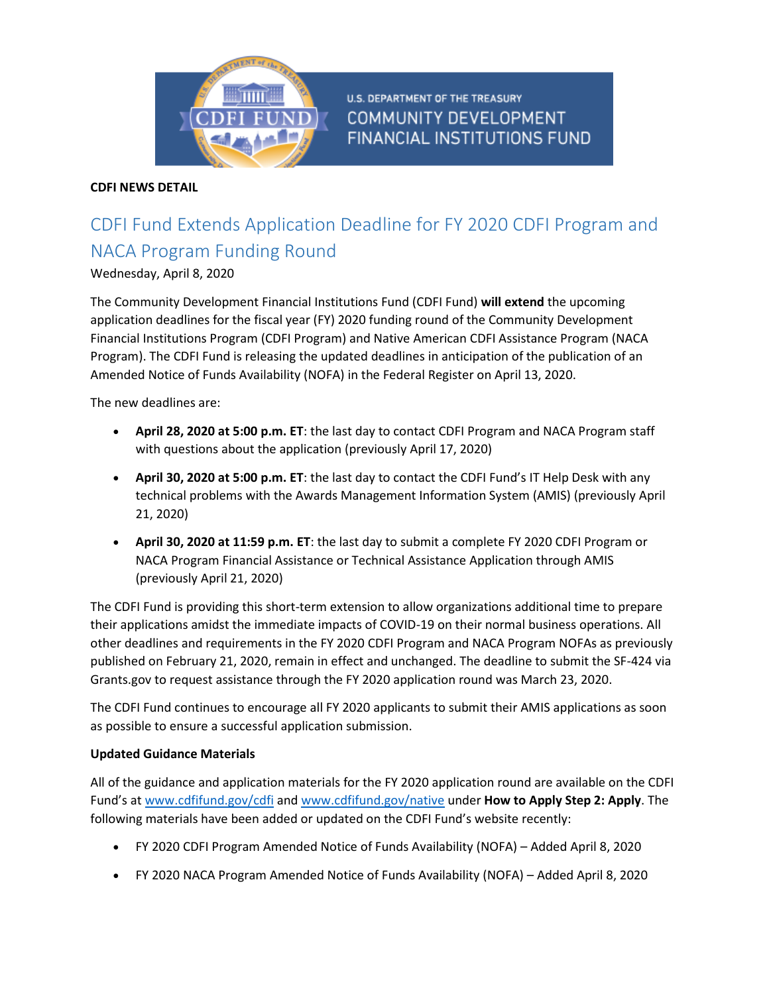

**U.S. DEPARTMENT OF THE TREASURY COMMUNITY DEVELOPMENT FINANCIAL INSTITUTIONS FUND** 

## **CDFI NEWS DETAIL**

# CDFI Fund Extends Application Deadline for FY 2020 CDFI Program and NACA Program Funding Round

## Wednesday, April 8, 2020

The Community Development Financial Institutions Fund (CDFI Fund) **will extend** the upcoming application deadlines for the fiscal year (FY) 2020 funding round of the Community Development Financial Institutions Program (CDFI Program) and Native American CDFI Assistance Program (NACA Program). The CDFI Fund is releasing the updated deadlines in anticipation of the publication of an Amended Notice of Funds Availability (NOFA) in the Federal Register on April 13, 2020.

The new deadlines are:

- **April 28, 2020 at 5:00 p.m. ET**: the last day to contact CDFI Program and NACA Program staff with questions about the application (previously April 17, 2020)
- **April 30, 2020 at 5:00 p.m. ET**: the last day to contact the CDFI Fund's IT Help Desk with any technical problems with the Awards Management Information System (AMIS) (previously April 21, 2020)
- **April 30, 2020 at 11:59 p.m. ET**: the last day to submit a complete FY 2020 CDFI Program or NACA Program Financial Assistance or Technical Assistance Application through AMIS (previously April 21, 2020)

The CDFI Fund is providing this short-term extension to allow organizations additional time to prepare their applications amidst the immediate impacts of COVID-19 on their normal business operations. All other deadlines and requirements in the FY 2020 CDFI Program and NACA Program NOFAs as previously published on February 21, 2020, remain in effect and unchanged. The deadline to submit the SF-424 via Grants.gov to request assistance through the FY 2020 application round was March 23, 2020.

The CDFI Fund continues to encourage all FY 2020 applicants to submit their AMIS applications as soon as possible to ensure a successful application submission.

#### **Updated Guidance Materials**

All of the guidance and application materials for the FY 2020 application round are available on the CDFI Fund's at [www.cdfifund.gov/cdfi](https://www.cdfifund.gov/cdfi) and [www.cdfifund.gov/native](https://www.cdfifund.gov/native) under **How to Apply Step 2: Apply**. The following materials have been added or updated on the CDFI Fund's website recently:

- FY 2020 CDFI Program Amended Notice of Funds Availability (NOFA) Added April 8, 2020
- FY 2020 NACA Program Amended Notice of Funds Availability (NOFA) Added April 8, 2020